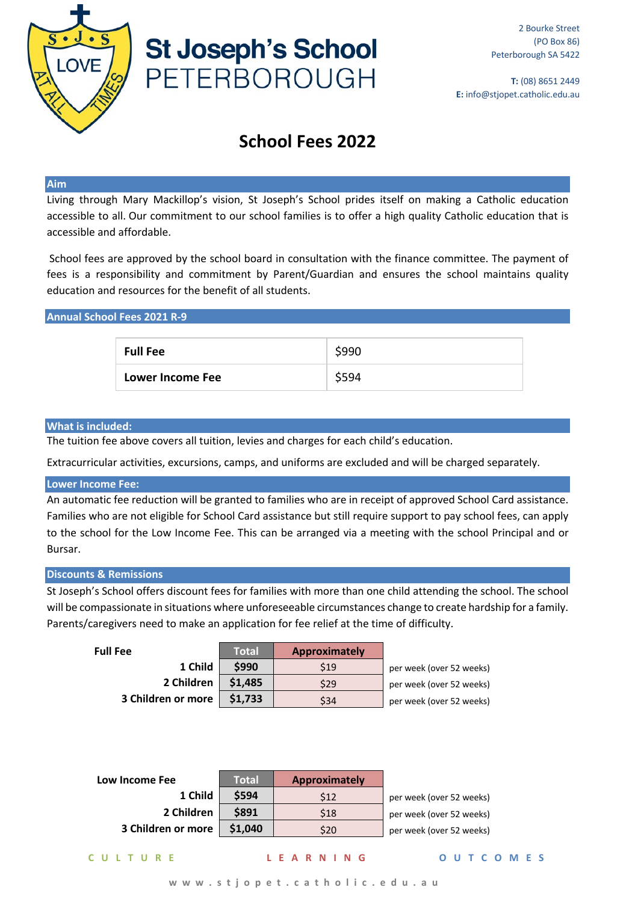

# **St Joseph's School** PETERBOROUGH

# **School Fees 2022**

### **Aim**

Living through Mary Mackillop's vision, St Joseph's School prides itself on making a Catholic education accessible to all. Our commitment to our school families is to offer a high quality Catholic education that is accessible and affordable.

School fees are approved by the school board in consultation with the finance committee. The payment of fees is a responsibility and commitment by Parent/Guardian and ensures the school maintains quality education and resources for the benefit of all students.

# **Annual School Fees 2021 R-9**

| <b>Full Fee</b>  | \$990 |
|------------------|-------|
| Lower Income Fee | \$594 |

#### **What is included:**

The tuition fee above covers all tuition, levies and charges for each child's education.

Extracurricular activities, excursions, camps, and uniforms are excluded and will be charged separately.

#### **Lower Income Fee:**

An automatic fee reduction will be granted to families who are in receipt of approved School Card assistance. Families who are not eligible for School Card assistance but still require support to pay school fees, can apply to the school for the Low Income Fee. This can be arranged via a meeting with the school Principal and or Bursar.

# **Discounts & Remissions**

St Joseph's School offers discount fees for families with more than one child attending the school. The school will be compassionate in situations where unforeseeable circumstances change to create hardship for a family. Parents/caregivers need to make an application for fee relief at the time of difficulty.

| <b>Full Fee</b>    | Total   | <b>Approximately</b> |                          |
|--------------------|---------|----------------------|--------------------------|
| 1 Child            | \$990   | \$19                 | per week (over 52 weeks) |
| 2 Children         | \$1,485 | \$29                 | per week (over 52 weeks) |
| 3 Children or more | \$1,733 | \$34                 | per week (over 52 weeks) |

| Low Income Fee     | Total   | <b>Approximately</b> |                          |
|--------------------|---------|----------------------|--------------------------|
| 1 Child            | \$594   | \$12                 | per week (over 52 weeks) |
| 2 Children         | \$891   | \$18                 | per week (over 52 weeks) |
| 3 Children or more | \$1,040 | \$20                 | per week (over 52 weeks) |

**CULTURE LEARNING OUTCOMES**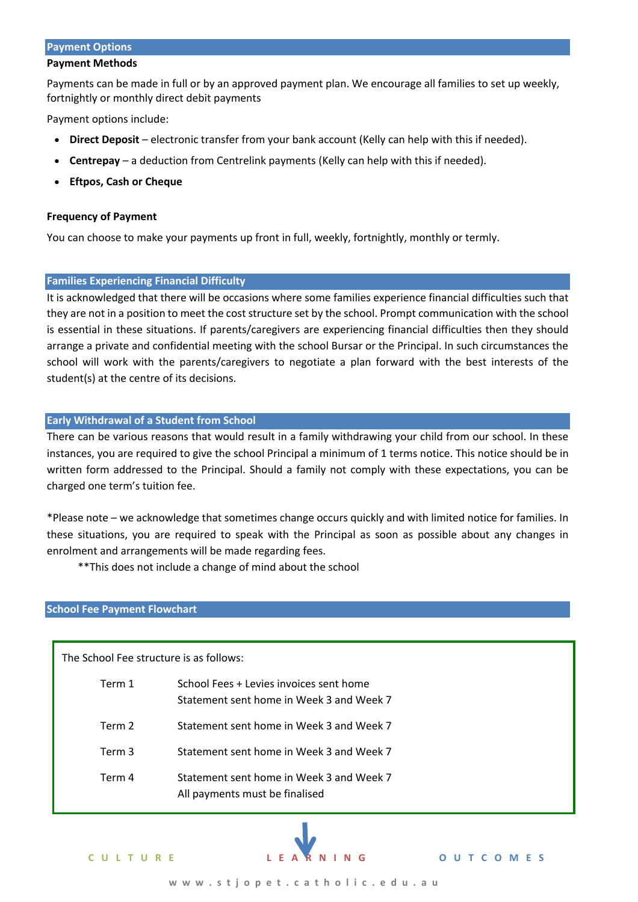# **Payment Options**

#### **Payment Methods**

Payments can be made in full or by an approved payment plan. We encourage all families to set up weekly, fortnightly or monthly direct debit payments

Payment options include:

- **Direct Deposit** electronic transfer from your bank account (Kelly can help with this if needed).
- **Centrepay** a deduction from Centrelink payments (Kelly can help with this if needed).
- **Eftpos, Cash or Cheque**

# **Frequency of Payment**

You can choose to make your payments up front in full, weekly, fortnightly, monthly or termly.

# **Families Experiencing Financial Difficulty**

It is acknowledged that there will be occasions where some families experience financial difficulties such that they are not in a position to meet the cost structure set by the school. Prompt communication with the school is essential in these situations. If parents/caregivers are experiencing financial difficulties then they should arrange a private and confidential meeting with the school Bursar or the Principal. In such circumstances the school will work with the parents/caregivers to negotiate a plan forward with the best interests of the student(s) at the centre of its decisions.

# **Early Withdrawal of a Student from School**

There can be various reasons that would result in a family withdrawing your child from our school. In these instances, you are required to give the school Principal a minimum of 1 terms notice. This notice should be in written form addressed to the Principal. Should a family not comply with these expectations, you can be charged one term's tuition fee.

\*Please note – we acknowledge that sometimes change occurs quickly and with limited notice for families. In these situations, you are required to speak with the Principal as soon as possible about any changes in enrolment and arrangements will be made regarding fees.

\*\*This does not include a change of mind about the school

# **School Fee Payment Flowchart**

The School Fee structure is as follows:

| Term 1 | School Fees + Levies invoices sent home<br>Statement sent home in Week 3 and Week 7 |
|--------|-------------------------------------------------------------------------------------|
| Term 2 | Statement sent home in Week 3 and Week 7                                            |
| Term 3 | Statement sent home in Week 3 and Week 7                                            |
| Term 4 | Statement sent home in Week 3 and Week 7<br>All payments must be finalised          |